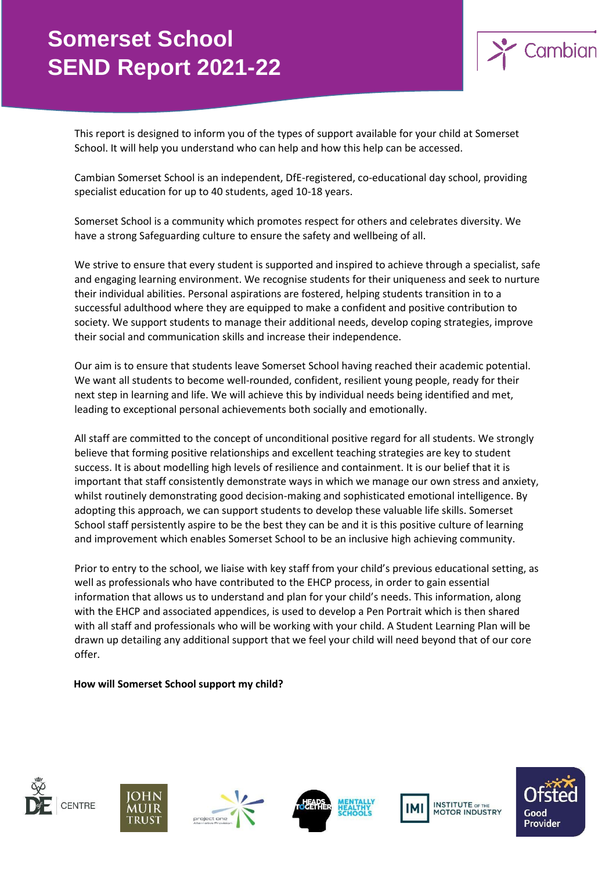

This report is designed to inform you of the types of support available for your child at Somerset School. It will help you understand who can help and how this help can be accessed.

Cambian Somerset School is an independent, DfE-registered, co-educational day school, providing specialist education for up to 40 students, aged 10-18 years.

Somerset School is a community which promotes respect for others and celebrates diversity. We have a strong Safeguarding culture to ensure the safety and wellbeing of all.

We strive to ensure that every student is supported and inspired to achieve through a specialist, safe and engaging learning environment. We recognise students for their uniqueness and seek to nurture their individual abilities. Personal aspirations are fostered, helping students transition in to a successful adulthood where they are equipped to make a confident and positive contribution to society. We support students to manage their additional needs, develop coping strategies, improve their social and communication skills and increase their independence.

Our aim is to ensure that students leave Somerset School having reached their academic potential. We want all students to become well-rounded, confident, resilient young people, ready for their next step in learning and life. We will achieve this by individual needs being identified and met, leading to exceptional personal achievements both socially and emotionally.

All staff are committed to the concept of unconditional positive regard for all students. We strongly believe that forming positive relationships and excellent teaching strategies are key to student success. It is about modelling high levels of resilience and containment. It is our belief that it is important that staff consistently demonstrate ways in which we manage our own stress and anxiety, whilst routinely demonstrating good decision-making and sophisticated emotional intelligence. By adopting this approach, we can support students to develop these valuable life skills. Somerset School staff persistently aspire to be the best they can be and it is this positive culture of learning and improvement which enables Somerset School to be an inclusive high achieving community.

Prior to entry to the school, we liaise with key staff from your child's previous educational setting, as well as professionals who have contributed to the EHCP process, in order to gain essential information that allows us to understand and plan for your child's needs. This information, along with the EHCP and associated appendices, is used to develop a Pen Portrait which is then shared with all staff and professionals who will be working with your child. A Student Learning Plan will be drawn up detailing any additional support that we feel your child will need beyond that of our core offer.

#### **How will Somerset School support my child?**











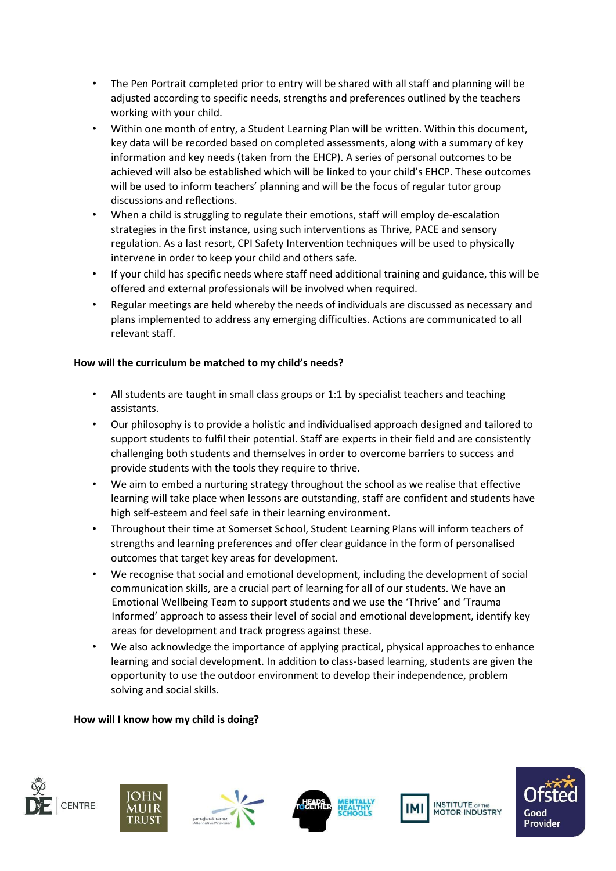- The Pen Portrait completed prior to entry will be shared with all staff and planning will be adjusted according to specific needs, strengths and preferences outlined by the teachers working with your child.
- Within one month of entry, a Student Learning Plan will be written. Within this document, key data will be recorded based on completed assessments, along with a summary of key information and key needs (taken from the EHCP). A series of personal outcomes to be achieved will also be established which will be linked to your child's EHCP. These outcomes will be used to inform teachers' planning and will be the focus of regular tutor group discussions and reflections.
- When a child is struggling to regulate their emotions, staff will employ de-escalation strategies in the first instance, using such interventions as Thrive, PACE and sensory regulation. As a last resort, CPI Safety Intervention techniques will be used to physically intervene in order to keep your child and others safe.
- If your child has specific needs where staff need additional training and guidance, this will be offered and external professionals will be involved when required.
- Regular meetings are held whereby the needs of individuals are discussed as necessary and plans implemented to address any emerging difficulties. Actions are communicated to all relevant staff.

## **How will the curriculum be matched to my child's needs?**

- All students are taught in small class groups or 1:1 by specialist teachers and teaching assistants.
- Our philosophy is to provide a holistic and individualised approach designed and tailored to support students to fulfil their potential. Staff are experts in their field and are consistently challenging both students and themselves in order to overcome barriers to success and provide students with the tools they require to thrive.
- We aim to embed a nurturing strategy throughout the school as we realise that effective learning will take place when lessons are outstanding, staff are confident and students have high self-esteem and feel safe in their learning environment.
- Throughout their time at Somerset School, Student Learning Plans will inform teachers of strengths and learning preferences and offer clear guidance in the form of personalised outcomes that target key areas for development.
- We recognise that social and emotional development, including the development of social communication skills, are a crucial part of learning for all of our students. We have an Emotional Wellbeing Team to support students and we use the 'Thrive' and 'Trauma Informed' approach to assess their level of social and emotional development, identify key areas for development and track progress against these.
- We also acknowledge the importance of applying practical, physical approaches to enhance learning and social development. In addition to class-based learning, students are given the opportunity to use the outdoor environment to develop their independence, problem solving and social skills.

### **How will I know how my child is doing?**











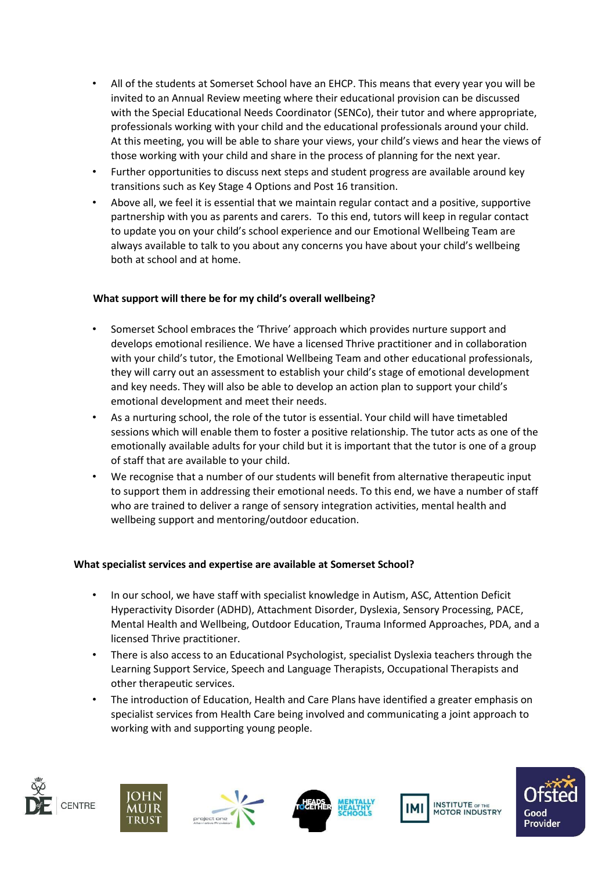- All of the students at Somerset School have an EHCP. This means that every year you will be invited to an Annual Review meeting where their educational provision can be discussed with the Special Educational Needs Coordinator (SENCo), their tutor and where appropriate, professionals working with your child and the educational professionals around your child. At this meeting, you will be able to share your views, your child's views and hear the views of those working with your child and share in the process of planning for the next year.
- Further opportunities to discuss next steps and student progress are available around key transitions such as Key Stage 4 Options and Post 16 transition.
- Above all, we feel it is essential that we maintain regular contact and a positive, supportive partnership with you as parents and carers. To this end, tutors will keep in regular contact to update you on your child's school experience and our Emotional Wellbeing Team are always available to talk to you about any concerns you have about your child's wellbeing both at school and at home.

## **What support will there be for my child's overall wellbeing?**

- Somerset School embraces the 'Thrive' approach which provides nurture support and develops emotional resilience. We have a licensed Thrive practitioner and in collaboration with your child's tutor, the Emotional Wellbeing Team and other educational professionals, they will carry out an assessment to establish your child's stage of emotional development and key needs. They will also be able to develop an action plan to support your child's emotional development and meet their needs.
- As a nurturing school, the role of the tutor is essential. Your child will have timetabled sessions which will enable them to foster a positive relationship. The tutor acts as one of the emotionally available adults for your child but it is important that the tutor is one of a group of staff that are available to your child.
- We recognise that a number of our students will benefit from alternative therapeutic input to support them in addressing their emotional needs. To this end, we have a number of staff who are trained to deliver a range of sensory integration activities, mental health and wellbeing support and mentoring/outdoor education.

### **What specialist services and expertise are available at Somerset School?**

- In our school, we have staff with specialist knowledge in Autism, ASC, Attention Deficit Hyperactivity Disorder (ADHD), Attachment Disorder, Dyslexia, Sensory Processing, PACE, Mental Health and Wellbeing, Outdoor Education, Trauma Informed Approaches, PDA, and a licensed Thrive practitioner.
- There is also access to an Educational Psychologist, specialist Dyslexia teachers through the Learning Support Service, Speech and Language Therapists, Occupational Therapists and other therapeutic services.
- The introduction of Education, Health and Care Plans have identified a greater emphasis on specialist services from Health Care being involved and communicating a joint approach to working with and supporting young people.











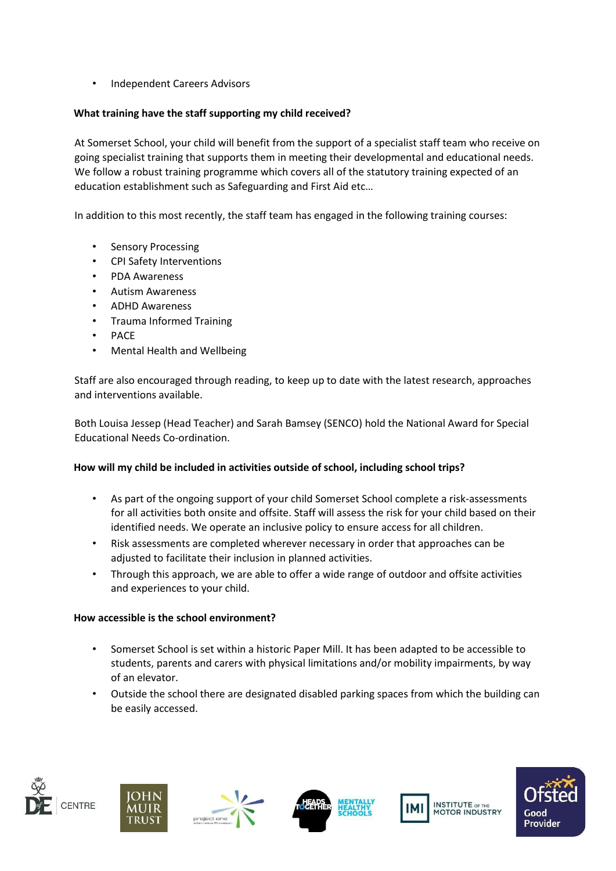• Independent Careers Advisors

## **What training have the staff supporting my child received?**

At Somerset School, your child will benefit from the support of a specialist staff team who receive on going specialist training that supports them in meeting their developmental and educational needs. We follow a robust training programme which covers all of the statutory training expected of an education establishment such as Safeguarding and First Aid etc…

In addition to this most recently, the staff team has engaged in the following training courses:

- Sensory Processing
- CPI Safety Interventions
- PDA Awareness
- Autism Awareness
- ADHD Awareness
- Trauma Informed Training
- PACE
- Mental Health and Wellbeing

Staff are also encouraged through reading, to keep up to date with the latest research, approaches and interventions available.

Both Louisa Jessep (Head Teacher) and Sarah Bamsey (SENCO) hold the National Award for Special Educational Needs Co-ordination.

### **How will my child be included in activities outside of school, including school trips?**

- As part of the ongoing support of your child Somerset School complete a risk-assessments for all activities both onsite and offsite. Staff will assess the risk for your child based on their identified needs. We operate an inclusive policy to ensure access for all children.
- Risk assessments are completed wherever necessary in order that approaches can be adjusted to facilitate their inclusion in planned activities.
- Through this approach, we are able to offer a wide range of outdoor and offsite activities and experiences to your child.

### **How accessible is the school environment?**

- Somerset School is set within a historic Paper Mill. It has been adapted to be accessible to students, parents and carers with physical limitations and/or mobility impairments, by way of an elevator.
- Outside the school there are designated disabled parking spaces from which the building can be easily accessed.











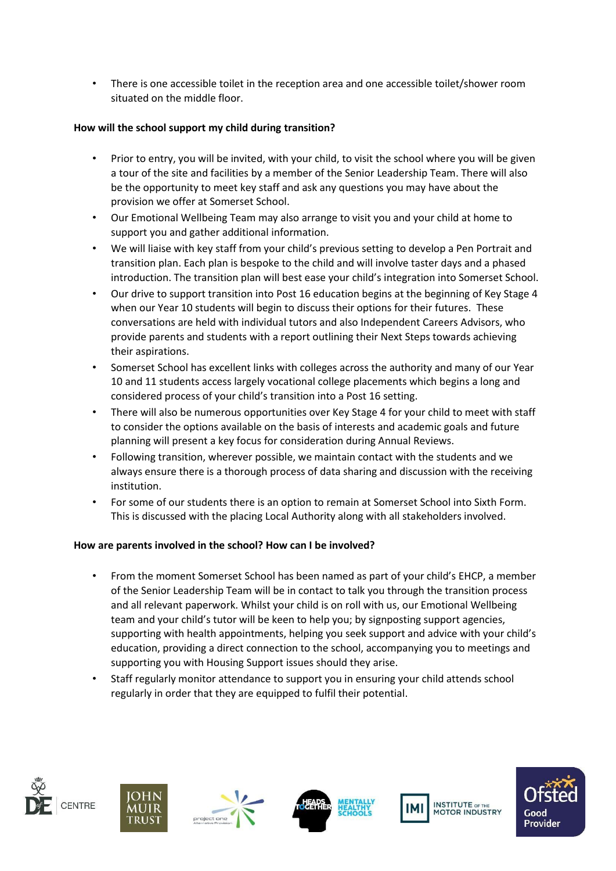• There is one accessible toilet in the reception area and one accessible toilet/shower room situated on the middle floor.

# **How will the school support my child during transition?**

- Prior to entry, you will be invited, with your child, to visit the school where you will be given a tour of the site and facilities by a member of the Senior Leadership Team. There will also be the opportunity to meet key staff and ask any questions you may have about the provision we offer at Somerset School.
- Our Emotional Wellbeing Team may also arrange to visit you and your child at home to support you and gather additional information.
- We will liaise with key staff from your child's previous setting to develop a Pen Portrait and transition plan. Each plan is bespoke to the child and will involve taster days and a phased introduction. The transition plan will best ease your child's integration into Somerset School.
- Our drive to support transition into Post 16 education begins at the beginning of Key Stage 4 when our Year 10 students will begin to discuss their options for their futures. These conversations are held with individual tutors and also Independent Careers Advisors, who provide parents and students with a report outlining their Next Steps towards achieving their aspirations.
- Somerset School has excellent links with colleges across the authority and many of our Year 10 and 11 students access largely vocational college placements which begins a long and considered process of your child's transition into a Post 16 setting.
- There will also be numerous opportunities over Key Stage 4 for your child to meet with staff to consider the options available on the basis of interests and academic goals and future planning will present a key focus for consideration during Annual Reviews.
- Following transition, wherever possible, we maintain contact with the students and we always ensure there is a thorough process of data sharing and discussion with the receiving institution.
- For some of our students there is an option to remain at Somerset School into Sixth Form. This is discussed with the placing Local Authority along with all stakeholders involved.

### **How are parents involved in the school? How can I be involved?**

- From the moment Somerset School has been named as part of your child's EHCP, a member of the Senior Leadership Team will be in contact to talk you through the transition process and all relevant paperwork. Whilst your child is on roll with us, our Emotional Wellbeing team and your child's tutor will be keen to help you; by signposting support agencies, supporting with health appointments, helping you seek support and advice with your child's education, providing a direct connection to the school, accompanying you to meetings and supporting you with Housing Support issues should they arise.
- Staff regularly monitor attendance to support you in ensuring your child attends school regularly in order that they are equipped to fulfil their potential.